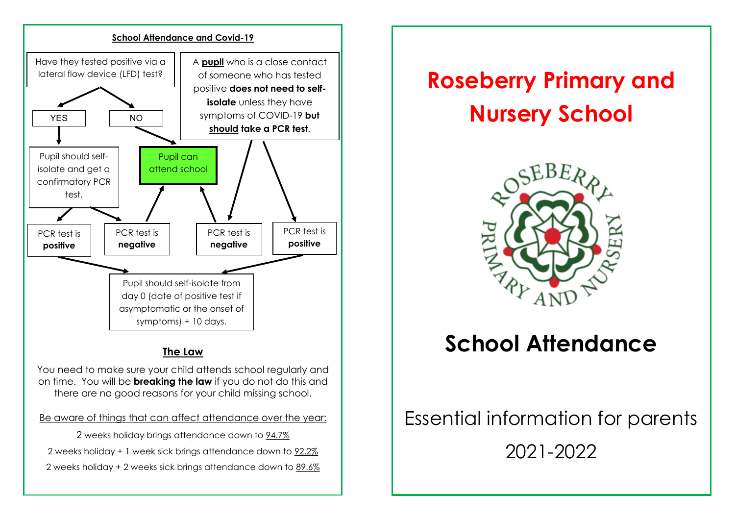

## **The Law**

You need to make sure your child attends school regularly and on time. You will be **breaking the law** if you do not do this and there are no good reasons for your child missing school.

Be aware of things that can affect attendance over the year:

2 weeks holiday brings attendance down to 94.7% 2 weeks holiday + 1 week sick brings attendance down to 92.2% 2 weeks holiday + 2 weeks sick brings attendance down to 89.6%

# **Roseberry Primary and Nursery School**



# **School Attendance**

# Essential information for parents 2021-2022